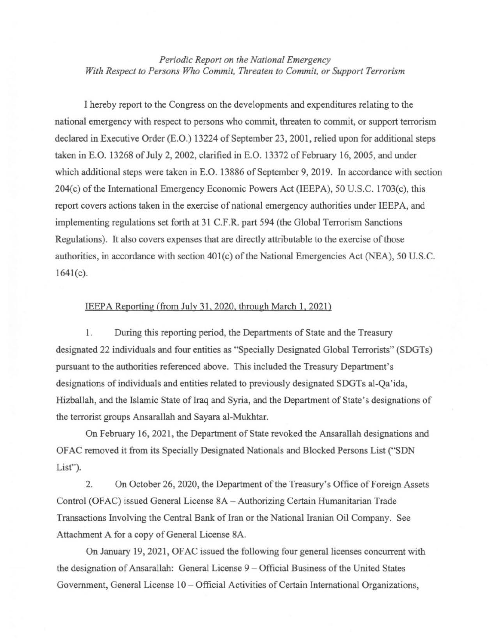*Periodic Report on the National Emergency With Respect to Persons Who Commit, Threaten to Commit, or Support Terrorism* 

I hereby report to the Congress on the developments and expenditures relating to the national emergency with respect to persons who commit, threaten to commit, or support terrorism declared in Executive Order (E.O.) 13224 of September 23, 2001, relied upon for additional steps taken in E.O. 13268 of July 2, 2002, clarified in E.O. 13372 of February 16, 2005, and under which additional steps were taken in E.O. 13886 of September 9, 2019. In accordance with section 204(c) of the International Emergency Economic Powers Act (IEEPA), 50 U.S.C. 1703(c), this report covers actions taken in the exercise of national emergency authorities under IEEP A, and implementing regulations set forth at 31 C.F .R. part 594 (the Global Terrorism Sanctions Regulations). It also covers expenses that are directly attributable to the exercise of those authorities, in accordance with section 401(c) of the National Emergencies Act (NEA), 50 U.S.C.  $1641(c)$ .

## IEEPA Reporting (from July 31, 2020, through March 1, 2021)

1. During this reporting period, the Departments of State and the Treasury designated 22 individuals and four entities as "Specially Designated Global Terrorists" (SDGTs) pursuant to the authorities referenced above. This included the Treasury Department's designations of individuals and entities related to previously designated SDGTs al-Qa'ida, Hizballah, and the Islamic State of Iraq and Syria, and the Department of State's designations of the terrorist groups Ansarallah and Sayara al-Mukhtar.

On February 16, 2021, the Department of State revoked the Ansarallah designations and OF AC removed it from its Specially Designated Nationals and Blocked Persons List ("SDN List").

2. On October 26, 2020, the Department of the Treasury's Office of Foreign Assets Control (OF AC) issued General License 8A- Authorizing Certain Humanitarian Trade Transactions Involving the Central Bank of Iran or the National Iranian Oil Company. See Attachment A for a copy of General License 8A.

On January 19,2021, OFAC issued the following four general licenses concurrent with the designation of Ansarallah: General License 9- Official Business of the United States Government, General License 10 – Official Activities of Certain International Organizations,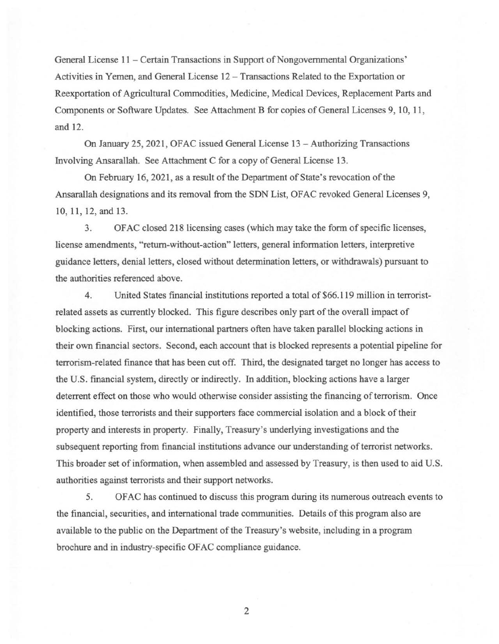General License 11 - Certain Transactions in Support of Nongovernmental Organizations' Activities in Yemen, and General License 12 - Transactions Related to the Exportation or Reexportation of Agricultural Commodities, Medicine, Medical Devices, Replacement Parts and Components or Software Updates. See Attachment B for copies of General Licenses 9, 10, 11, and 12.

On January 25, 2021, OFAC issued General License 13 - Authorizing Transactions Involving Ansarallah. See Attachment C for a copy of General License 13.

On February 16, 2021, as a result of the Department of State's revocation of the Ansarallah designations and its removal from the SDN List, OFAC revoked General Licenses 9, 10, 11, 12, and 13.

3. OFAC closed 218licensing cases (which may take the form of specific licenses, license amendments, "return-without-action" letters, general information letters, interpretive guidance letters, denial letters, closed without determination letters, or withdrawals) pursuant to the authorities referenced above.

4. United States financial institutions reported a total of \$66.119 million in terroristrelated assets as currently blocked. This figure describes only part of the overall impact of blocking actions. First, our international partners often have taken parallel blocking actions in their own financial sectors. Second, each account that is blocked represents a potential pipeline for terrorism-related finance that has been cut off. Third, the designated target no longer has access to the U.S. financial system, directly or indirectly. In addition, blocking actions have a larger deterrent effect on those who would otherwise consider assisting the financing of terrorism. Once identified, those terrorists and their supporters face commercial isolation and a block of their property and interests in property. Finally, Treasury's underlying investigations and the subsequent reporting from financial institutions advance our understanding of terrorist networks. This broader set of information, when assembled and assessed by Treasury, is then used to aid U.S. authorities against terrorists and their support networks.

5. OFAC has continued to discuss this program during its numerous outreach events to the financial, securities, and international trade communities. Details of this program also are available to the public on the Department of the Treasury's website, including in a program brochure and in industry-specific OF AC compliance guidance.

2